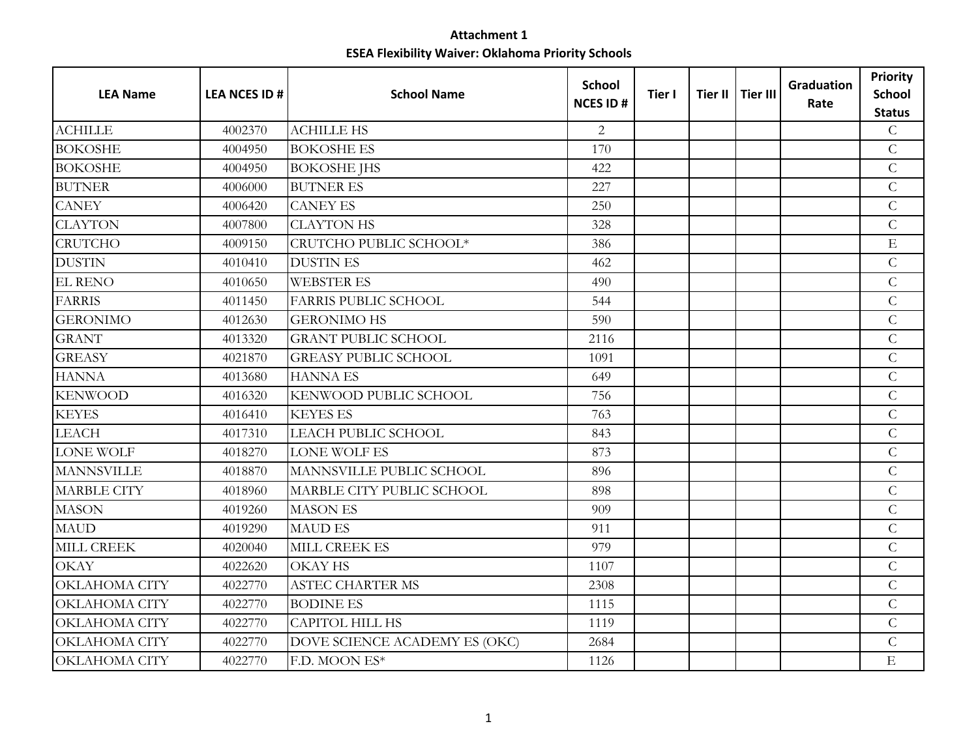## **Attachment 1 ESEA Flexibility Waiver: Oklahoma Priority Schools**

| <b>LEA Name</b>    | <b>LEA NCES ID #</b> | <b>School Name</b>            | <b>School</b><br><b>NCES ID#</b> | Tier I | Tier II   Tier III | <b>Graduation</b><br>Rate | <b>Priority</b><br><b>School</b> |
|--------------------|----------------------|-------------------------------|----------------------------------|--------|--------------------|---------------------------|----------------------------------|
|                    |                      |                               |                                  |        |                    |                           | <b>Status</b>                    |
| <b>ACHILLE</b>     | 4002370              | <b>ACHILLE HS</b>             | $\overline{2}$                   |        |                    |                           | $\mathsf{C}$                     |
| <b>BOKOSHE</b>     | 4004950              | <b>BOKOSHE ES</b>             | 170                              |        |                    |                           | $\mathcal{C}$                    |
| <b>BOKOSHE</b>     | 4004950              | <b>BOKOSHE JHS</b>            | 422                              |        |                    |                           | $\mathsf{C}$                     |
| <b>BUTNER</b>      | 4006000              | <b>BUTNER ES</b>              | 227                              |        |                    |                           | $\mathsf{C}$                     |
| <b>CANEY</b>       | 4006420              | <b>CANEY ES</b>               | 250                              |        |                    |                           | $\mathsf{C}$                     |
| <b>CLAYTON</b>     | 4007800              | <b>CLAYTON HS</b>             | 328                              |        |                    |                           | $\mathcal{C}$                    |
| <b>CRUTCHO</b>     | 4009150              | CRUTCHO PUBLIC SCHOOL*        | 386                              |        |                    |                           | $\mathbf E$                      |
| <b>DUSTIN</b>      | 4010410              | <b>DUSTIN ES</b>              | 462                              |        |                    |                           | $\mathsf{C}$                     |
| <b>EL RENO</b>     | 4010650              | <b>WEBSTER ES</b>             | 490                              |        |                    |                           | $\mathcal{C}$                    |
| <b>FARRIS</b>      | 4011450              | <b>FARRIS PUBLIC SCHOOL</b>   | 544                              |        |                    |                           | $\overline{C}$                   |
| <b>GERONIMO</b>    | 4012630              | <b>GERONIMO HS</b>            | 590                              |        |                    |                           | $\mathsf{C}$                     |
| <b>GRANT</b>       | 4013320              | <b>GRANT PUBLIC SCHOOL</b>    | 2116                             |        |                    |                           | $\mathsf{C}$                     |
| <b>GREASY</b>      | 4021870              | <b>GREASY PUBLIC SCHOOL</b>   | 1091                             |        |                    |                           | $\overline{C}$                   |
| <b>HANNA</b>       | 4013680              | <b>HANNA ES</b>               | 649                              |        |                    |                           | $\mathsf C$                      |
| <b>KENWOOD</b>     | 4016320              | <b>KENWOOD PUBLIC SCHOOL</b>  | 756                              |        |                    |                           | $\mathcal{C}$                    |
| <b>KEYES</b>       | 4016410              | <b>KEYES ES</b>               | 763                              |        |                    |                           | $\overline{C}$                   |
| <b>LEACH</b>       | 4017310              | LEACH PUBLIC SCHOOL           | 843                              |        |                    |                           | $\mathcal{C}$                    |
| <b>LONE WOLF</b>   | 4018270              | <b>LONE WOLF ES</b>           | 873                              |        |                    |                           | $\mathsf{C}$                     |
| <b>MANNSVILLE</b>  | 4018870              | MANNSVILLE PUBLIC SCHOOL      | 896                              |        |                    |                           | $\overline{C}$                   |
| <b>MARBLE CITY</b> | 4018960              | MARBLE CITY PUBLIC SCHOOL     | 898                              |        |                    |                           | $\mathsf C$                      |
| <b>MASON</b>       | 4019260              | <b>MASON ES</b>               | 909                              |        |                    |                           | $\mathsf{C}$                     |
| <b>MAUD</b>        | 4019290              | <b>MAUD ES</b>                | 911                              |        |                    |                           | $\mathsf{C}$                     |
| <b>MILL CREEK</b>  | 4020040              | <b>MILL CREEK ES</b>          | 979                              |        |                    |                           | $\mathsf{C}$                     |
| <b>OKAY</b>        | 4022620              | <b>OKAY HS</b>                | 1107                             |        |                    |                           | $\mathcal{C}$                    |
| OKLAHOMA CITY      | 4022770              | <b>ASTEC CHARTER MS</b>       | 2308                             |        |                    |                           | $\overline{C}$                   |
| OKLAHOMA CITY      | 4022770              | <b>BODINE ES</b>              | 1115                             |        |                    |                           | $\mathcal{C}$                    |
| OKLAHOMA CITY      | 4022770              | <b>CAPITOL HILL HS</b>        | 1119                             |        |                    |                           | $\mathcal{C}$                    |
| OKLAHOMA CITY      | 4022770              | DOVE SCIENCE ACADEMY ES (OKC) | 2684                             |        |                    |                           | $\overline{C}$                   |
| OKLAHOMA CITY      | 4022770              | F.D. MOON ES*                 | 1126                             |        |                    |                           | E                                |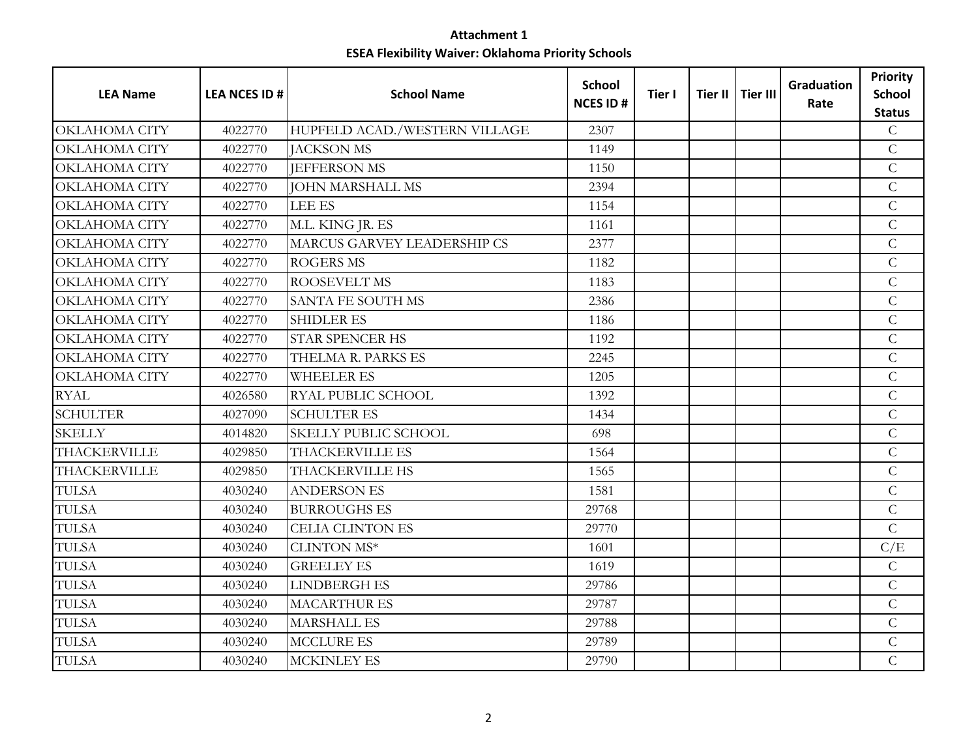## **Attachment 1 ESEA Flexibility Waiver: Oklahoma Priority Schools**

| <b>LEA Name</b>                | <b>LEA NCES ID #</b> | <b>School Name</b>                       | <b>School</b><br><b>NCES ID#</b> | Tier I | Tier II   Tier III | <b>Graduation</b><br>Rate | Priority<br><b>School</b>     |
|--------------------------------|----------------------|------------------------------------------|----------------------------------|--------|--------------------|---------------------------|-------------------------------|
| OKLAHOMA CITY                  | 4022770              | HUPFELD ACAD./WESTERN VILLAGE            | 2307                             |        |                    |                           | <b>Status</b><br>$\mathsf{C}$ |
|                                |                      |                                          |                                  |        |                    |                           | ${\cal C}$                    |
| OKLAHOMA CITY<br>OKLAHOMA CITY | 4022770              | <b>JACKSON MS</b><br><b>IEFFERSON MS</b> | 1149                             |        |                    |                           | $\mathsf C$                   |
|                                | 4022770              |                                          | 1150                             |        |                    |                           | $\overline{C}$                |
| OKLAHOMA CITY                  | 4022770              | <b>JOHN MARSHALL MS</b>                  | 2394                             |        |                    |                           |                               |
| OKLAHOMA CITY                  | 4022770              | LEE ES                                   | 1154                             |        |                    |                           | $\mathsf C$                   |
| OKLAHOMA CITY                  | 4022770              | M.L. KING JR. ES                         | 1161                             |        |                    |                           | $\mathsf C$                   |
| OKLAHOMA CITY                  | 4022770              | MARCUS GARVEY LEADERSHIP CS              | 2377                             |        |                    |                           | $\overline{C}$                |
| OKLAHOMA CITY                  | 4022770              | <b>ROGERS MS</b>                         | 1182                             |        |                    |                           | $\mathsf{C}$                  |
| OKLAHOMA CITY                  | 4022770              | <b>ROOSEVELT MS</b>                      | 1183                             |        |                    |                           | $\mathsf C$                   |
| OKLAHOMA CITY                  | 4022770              | SANTA FE SOUTH MS                        | 2386                             |        |                    |                           | $\mathsf C$                   |
| OKLAHOMA CITY                  | 4022770              | <b>SHIDLER ES</b>                        | 1186                             |        |                    |                           | $\mathcal{C}$                 |
| <b>OKLAHOMA CITY</b>           | 4022770              | <b>STAR SPENCER HS</b>                   | 1192                             |        |                    |                           | $\mathsf C$                   |
| <b>OKLAHOMA CITY</b>           | 4022770              | THELMA R. PARKS ES                       | 2245                             |        |                    |                           | $\overline{C}$                |
| OKLAHOMA CITY                  | 4022770              | <b>WHEELER ES</b>                        | 1205                             |        |                    |                           | $\mathsf{C}$                  |
| <b>RYAL</b>                    | 4026580              | <b>RYAL PUBLIC SCHOOL</b>                | 1392                             |        |                    |                           | $\mathsf C$                   |
| <b>SCHULTER</b>                | 4027090              | <b>SCHULTER ES</b>                       | 1434                             |        |                    |                           | $\mathsf C$                   |
| <b>SKELLY</b>                  | 4014820              | <b>SKELLY PUBLIC SCHOOL</b>              | 698                              |        |                    |                           | $\mathsf{C}$                  |
| THACKERVILLE                   | 4029850              | THACKERVILLE ES                          | 1564                             |        |                    |                           | $\mathsf C$                   |
| <b>THACKERVILLE</b>            | 4029850              | THACKERVILLE HS                          | 1565                             |        |                    |                           | $\mathsf C$                   |
| <b>TULSA</b>                   | 4030240              | <b>ANDERSON ES</b>                       | 1581                             |        |                    |                           | $\mathsf{C}$                  |
| <b>TULSA</b>                   | 4030240              | <b>BURROUGHS ES</b>                      | 29768                            |        |                    |                           | $\mathsf C$                   |
| <b>TULSA</b>                   | 4030240              | <b>CELIA CLINTON ES</b>                  | 29770                            |        |                    |                           | $\overline{C}$                |
| <b>TULSA</b>                   | 4030240              | <b>CLINTON MS*</b>                       | 1601                             |        |                    |                           | C/E                           |
| <b>TULSA</b>                   | 4030240              | <b>GREELEY ES</b>                        | 1619                             |        |                    |                           | $\mathsf{C}$                  |
| <b>TULSA</b>                   | 4030240              | <b>LINDBERGH ES</b>                      | 29786                            |        |                    |                           | $\overline{C}$                |
| <b>TULSA</b>                   | 4030240              | <b>MACARTHUR ES</b>                      | 29787                            |        |                    |                           | $\mathsf C$                   |
| <b>TULSA</b>                   | 4030240              | <b>MARSHALL ES</b>                       | 29788                            |        |                    |                           | $\mathcal{C}$                 |
| <b>TULSA</b>                   | 4030240              | <b>MCCLURE ES</b>                        | 29789                            |        |                    |                           | $\mathsf{C}$                  |
| <b>TULSA</b>                   | 4030240              | <b>MCKINLEY ES</b>                       | 29790                            |        |                    |                           | $\mathsf C$                   |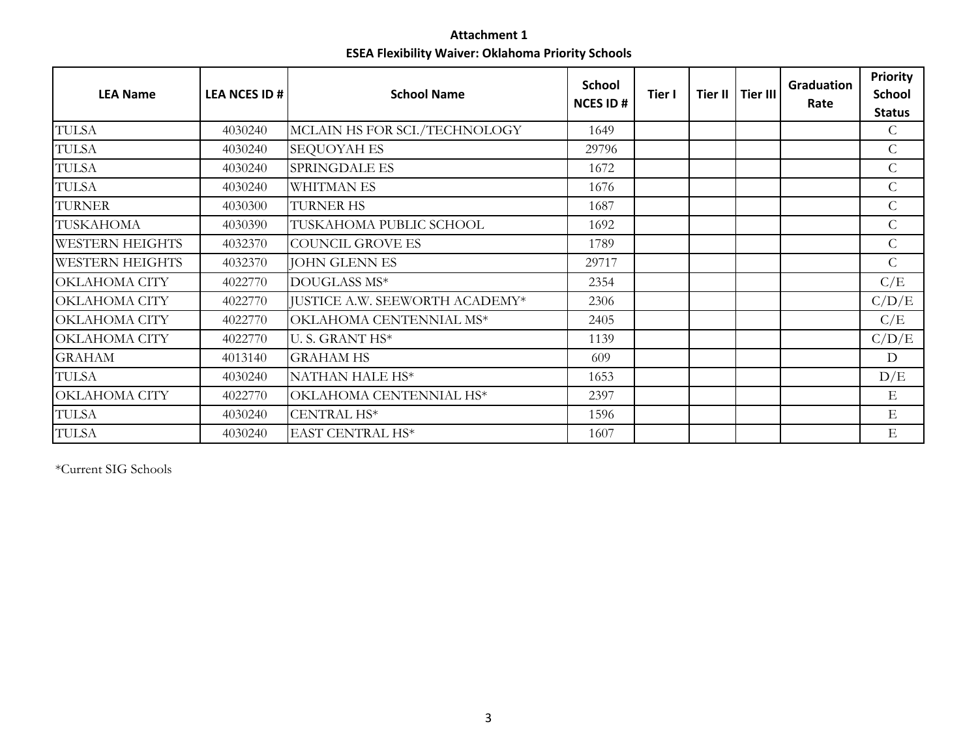## **Attachment 1 ESEA Flexibility Waiver: Oklahoma Priority Schools**

| <b>LEA Name</b>        | LEA NCES ID # | <b>School Name</b>             | <b>School</b><br><b>NCES ID#</b> | Tier I | Tier II | Tier III | Graduation<br>Rate | <b>Priority</b><br><b>School</b><br><b>Status</b> |
|------------------------|---------------|--------------------------------|----------------------------------|--------|---------|----------|--------------------|---------------------------------------------------|
| <b>TULSA</b>           | 4030240       | MCLAIN HS FOR SCI./TECHNOLOGY  | 1649                             |        |         |          |                    | C                                                 |
| <b>TULSA</b>           | 4030240       | <b>SEQUOYAH ES</b>             | 29796                            |        |         |          |                    | $\mathcal{C}$                                     |
| <b>TULSA</b>           | 4030240       | <b>SPRINGDALE ES</b>           | 1672                             |        |         |          |                    | $\overline{C}$                                    |
| <b>TULSA</b>           | 4030240       | <b>WHITMAN ES</b>              | 1676                             |        |         |          |                    | $\mathsf{C}$                                      |
| <b>TURNER</b>          | 4030300       | <b>TURNER HS</b>               | 1687                             |        |         |          |                    | $\mathsf{C}$                                      |
| <b>TUSKAHOMA</b>       | 4030390       | TUSKAHOMA PUBLIC SCHOOL        | 1692                             |        |         |          |                    | $\mathcal{C}$                                     |
| <b>WESTERN HEIGHTS</b> | 4032370       | <b>COUNCIL GROVE ES</b>        | 1789                             |        |         |          |                    | $\overline{C}$                                    |
| <b>WESTERN HEIGHTS</b> | 4032370       | <b>JOHN GLENN ES</b>           | 29717                            |        |         |          |                    | $\mathcal{C}$                                     |
| OKLAHOMA CITY          | 4022770       | DOUGLASS MS*                   | 2354                             |        |         |          |                    | C/E                                               |
| OKLAHOMA CITY          | 4022770       | JUSTICE A.W. SEEWORTH ACADEMY* | 2306                             |        |         |          |                    | C/D/E                                             |
| OKLAHOMA CITY          | 4022770       | OKLAHOMA CENTENNIAL MS*        | 2405                             |        |         |          |                    | C/E                                               |
| OKLAHOMA CITY          | 4022770       | U. S. GRANT HS*                | 1139                             |        |         |          |                    | C/D/E                                             |
| <b>GRAHAM</b>          | 4013140       | <b>GRAHAM HS</b>               | 609                              |        |         |          |                    | D                                                 |
| <b>TULSA</b>           | 4030240       | NATHAN HALE HS*                | 1653                             |        |         |          |                    | D/E                                               |
| OKLAHOMA CITY          | 4022770       | OKLAHOMA CENTENNIAL HS*        | 2397                             |        |         |          |                    | $\mathbf E$                                       |
| <b>TULSA</b>           | 4030240       | CENTRAL HS*                    | 1596                             |        |         |          |                    | Ε                                                 |
| <b>TULSA</b>           | 4030240       | EAST CENTRAL HS*               | 1607                             |        |         |          |                    | E                                                 |

\*Current SIG Schools